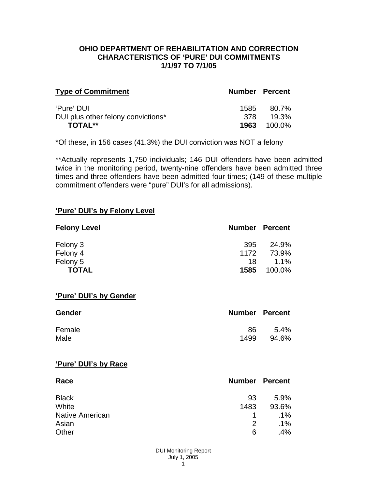## **OHIO DEPARTMENT OF REHABILITATION AND CORRECTION CHARACTERISTICS OF 'PURE' DUI COMMITMENTS 1/1/97 TO 7/1/05**

| <b>Type of Commitment</b>          | <b>Number Percent</b> |                    |
|------------------------------------|-----------------------|--------------------|
| 'Pure' DUI                         | 1585                  | 80.7%              |
| DUI plus other felony convictions* | .378                  | 19.3%              |
| <b>TOTAL**</b>                     |                       | <b>1963</b> 100.0% |

\*Of these, in 156 cases (41.3%) the DUI conviction was NOT a felony

\*\*Actually represents 1,750 individuals; 146 DUI offenders have been admitted twice in the monitoring period, twenty-nine offenders have been admitted three times and three offenders have been admitted four times; (149 of these multiple commitment offenders were "pure" DUI's for all admissions).

#### **'Pure' DUI's by Felony Level**

| <b>Felony Level</b> | <b>Number Percent</b> |         |
|---------------------|-----------------------|---------|
| Felony 3            | 395                   | 24.9%   |
| Felony 4            | 1172                  | 73.9%   |
| Felony 5            | 18                    | $1.1\%$ |
| <b>TOTAL</b>        | 1585                  | 100.0%  |

#### **'Pure' DUI's by Gender**

| Gender | <b>Number Percent</b> |         |
|--------|-----------------------|---------|
| Female | 86                    | $5.4\%$ |
| Male   | 1499                  | 94.6%   |

#### **'Pure' DUI's by Race**

| Race                   |               | <b>Number Percent</b> |
|------------------------|---------------|-----------------------|
| <b>Black</b>           | 93            | 5.9%                  |
| White                  | 1483          | 93.6%                 |
| <b>Native American</b> |               | $.1\%$                |
| Asian                  | $\mathcal{P}$ | $.1\%$                |
| Other                  | 6             | .4%                   |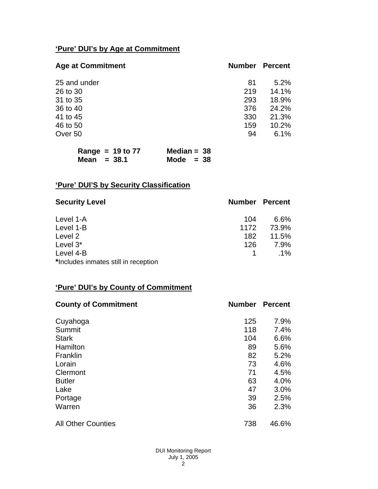# **'Pure' DUI's by Age at Commitment**

| <b>Age at Commitment</b> | <b>Number</b> | <b>Percent</b> |
|--------------------------|---------------|----------------|
| 25 and under             | 81            | 5.2%           |
| 26 to 30                 | 219           | 14.1%          |
| 31 to 35                 | 293           | 18.9%          |
| 36 to 40                 | 376           | 24.2%          |
| 41 to 45                 | 330           | 21.3%          |
| 46 to 50                 | 159           | 10.2%          |
| Over 50                  | 94            | 6.1%           |

| Range = $19$ to $77$ | Median = $38$ |
|----------------------|---------------|
| Mean $=$ 38.1        | Mode $= 38$   |

# **'Pure' DUI'S by Security Classification**

| <b>Security Level</b>                | <b>Number Percent</b> |        |
|--------------------------------------|-----------------------|--------|
| Level 1-A                            | 104                   | 6.6%   |
| Level 1-B                            | 1172                  | 73.9%  |
| Level 2                              | 182                   | 11.5%  |
| Level 3*                             | 126                   | 7.9%   |
| Level 4-B                            |                       | $.1\%$ |
| *Includes inmates still in reception |                       |        |

# **'Pure' DUI's by County of Commitment**

| <b>County of Commitment</b> | <b>Number</b> | <b>Percent</b> |
|-----------------------------|---------------|----------------|
| Cuyahoga                    | 125           | 7.9%           |
| Summit                      | 118           | 7.4%           |
| <b>Stark</b>                | 104           | 6.6%           |
| Hamilton                    | 89            | 5.6%           |
| Franklin                    | 82            | 5.2%           |
| Lorain                      | 73            | 4.6%           |
| Clermont                    | 71            | 4.5%           |
| <b>Butler</b>               | 63            | 4.0%           |
| Lake                        | 47            | 3.0%           |
| Portage                     | 39            | 2.5%           |
| Warren                      | 36            | 2.3%           |
| <b>All Other Counties</b>   | 738           | 46.6%          |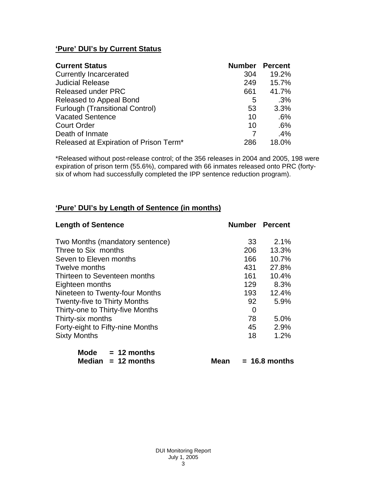# **'Pure' DUI's by Current Status**

| <b>Current Status</b>                  | <b>Number Percent</b> |       |
|----------------------------------------|-----------------------|-------|
| <b>Currently Incarcerated</b>          | 304                   | 19.2% |
| <b>Judicial Release</b>                | 249                   | 15.7% |
| <b>Released under PRC</b>              | 661                   | 41.7% |
| Released to Appeal Bond                | 5                     | .3%   |
| <b>Furlough (Transitional Control)</b> | 53                    | 3.3%  |
| <b>Vacated Sentence</b>                | 10                    | .6%   |
| <b>Court Order</b>                     | 10                    | .6%   |
| Death of Inmate                        |                       | .4%   |
| Released at Expiration of Prison Term* | 286                   | 18.0% |

\*Released without post-release control; of the 356 releases in 2004 and 2005, 198 were expiration of prison term (55.6%), compared with 66 inmates released onto PRC (fortysix of whom had successfully completed the IPP sentence reduction program).

## **'Pure' DUI's by Length of Sentence (in months)**

| <b>Length of Sentence</b>           |     | <b>Number Percent</b> |
|-------------------------------------|-----|-----------------------|
| Two Months (mandatory sentence)     | 33  | 2.1%                  |
| Three to Six months                 | 206 | 13.3%                 |
| Seven to Eleven months              | 166 | 10.7%                 |
| Twelve months                       | 431 | 27.8%                 |
| Thirteen to Seventeen months        | 161 | 10.4%                 |
| Eighteen months                     | 129 | 8.3%                  |
| Nineteen to Twenty-four Months      | 193 | 12.4%                 |
| <b>Twenty-five to Thirty Months</b> | 92  | 5.9%                  |
| Thirty-one to Thirty-five Months    | 0   |                       |
| Thirty-six months                   | 78  | 5.0%                  |
| Forty-eight to Fifty-nine Months    | 45  | 2.9%                  |
| <b>Sixty Months</b>                 | 18  | 1.2%                  |
|                                     |     |                       |

| Mode | $= 12$ months        |
|------|----------------------|
|      | Median $= 12$ months |

**Mean = 16.8 months**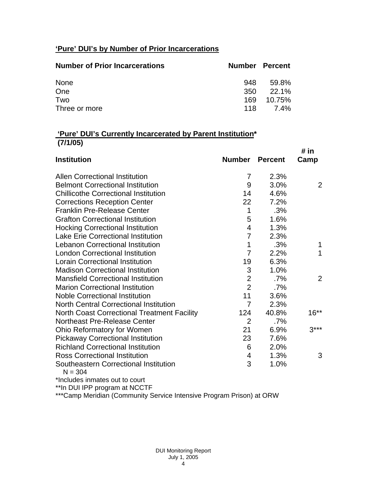# **'Pure' DUI's by Number of Prior Incarcerations**

| <b>Number of Prior Incarcerations</b> | <b>Number Percent</b> |               |
|---------------------------------------|-----------------------|---------------|
| None                                  | 948                   | 59.8%         |
| One                                   | 350                   | $22.1\%$      |
| Two                                   | 169                   | 10.75%        |
| Three or more                         |                       | $118$ $7.4\%$ |

## **'Pure' DUI's Currently Incarcerated by Parent Institution\* (7/1/05)**

|                                                    |                |                | # in   |
|----------------------------------------------------|----------------|----------------|--------|
| <b>Institution</b>                                 | <b>Number</b>  | <b>Percent</b> | Camp   |
| <b>Allen Correctional Institution</b>              | 7              | 2.3%           |        |
| <b>Belmont Correctional Institution</b>            | 9              | 3.0%           | 2      |
| <b>Chillicothe Correctional Institution</b>        | 14             | 4.6%           |        |
| <b>Corrections Reception Center</b>                | 22             | 7.2%           |        |
| <b>Franklin Pre-Release Center</b>                 | $\mathbf 1$    | .3%            |        |
| <b>Grafton Correctional Institution</b>            | 5              | 1.6%           |        |
| <b>Hocking Correctional Institution</b>            | $\overline{4}$ | 1.3%           |        |
| <b>Lake Erie Correctional Institution</b>          | $\overline{7}$ | 2.3%           |        |
| <b>Lebanon Correctional Institution</b>            | 1              | .3%            | 1      |
| <b>London Correctional Institution</b>             | $\overline{7}$ | 2.2%           | 1      |
| <b>Lorain Correctional Institution</b>             | 19             | 6.3%           |        |
| <b>Madison Correctional Institution</b>            | 3              | 1.0%           |        |
| <b>Mansfield Correctional Institution</b>          | $\overline{2}$ | $.7\%$         | 2      |
| <b>Marion Correctional Institution</b>             | $\overline{2}$ | .7%            |        |
| <b>Noble Correctional Institution</b>              | 11             | 3.6%           |        |
| <b>North Central Correctional Institution</b>      | $\overline{7}$ | 2.3%           |        |
| <b>North Coast Correctional Treatment Facility</b> | 124            | 40.8%          | $16**$ |
| <b>Northeast Pre-Release Center</b>                | $\overline{2}$ | $.7\%$         |        |
| Ohio Reformatory for Women                         | 21             | 6.9%           | $3***$ |
| <b>Pickaway Correctional Institution</b>           | 23             | 7.6%           |        |
| <b>Richland Correctional Institution</b>           | 6              | 2.0%           |        |
| <b>Ross Correctional Institution</b>               | 4              | 1.3%           | 3      |
| Southeastern Correctional Institution<br>$N = 304$ | 3              | 1.0%           |        |
| *Includes inmates out to court                     |                |                |        |
|                                                    |                |                |        |

\*\*In DUI IPP program at NCCTF

\*\*\*Camp Meridian (Community Service Intensive Program Prison) at ORW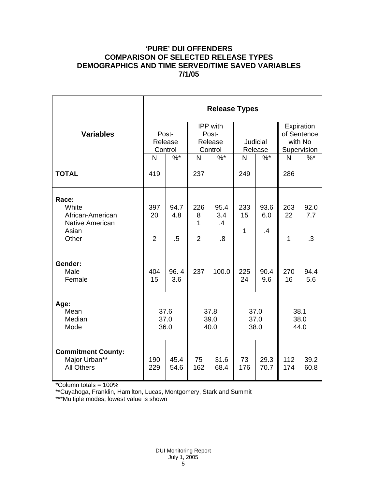# **'PURE' DUI OFFENDERS COMPARISON OF SELECTED RELEASE TYPES DEMOGRAPHICS AND TIME SERVED/TIME SAVED VARIABLES 7/1/05**

|                                                                         | <b>Release Types</b>        |                       |                                         |                         |                           |                              |                                                     |                          |  |
|-------------------------------------------------------------------------|-----------------------------|-----------------------|-----------------------------------------|-------------------------|---------------------------|------------------------------|-----------------------------------------------------|--------------------------|--|
| <b>Variables</b>                                                        | Post-<br>Release<br>Control |                       | IPP with<br>Post-<br>Release<br>Control |                         | Judicial<br>Release       |                              | Expiration<br>of Sentence<br>with No<br>Supervision |                          |  |
|                                                                         | N                           | $%^*$                 | $\mathsf{N}$                            | $\%$ *                  | N                         | $%^*$                        | N                                                   | $\%$ *                   |  |
| <b>TOTAL</b>                                                            | 419                         |                       | 237                                     |                         | 249                       |                              | 286                                                 |                          |  |
| Race:<br>White<br>African-American<br>Native American<br>Asian<br>Other | 397<br>20<br>$\overline{2}$ | 94.7<br>4.8<br>$.5\,$ | 226<br>8<br>1<br>$\overline{2}$         | 95.4<br>3.4<br>.4<br>.8 | 233<br>15<br>$\mathbf{1}$ | 93.6<br>6.0<br>$\mathbf{.4}$ | 263<br>22<br>1                                      | 92.0<br>7.7<br>$\cdot$ 3 |  |
| Gender:<br>Male<br>Female                                               | 404<br>15                   | 96.4<br>3.6           | 237                                     | 100.0                   | 225<br>24                 | 90.4<br>9.6                  | 270<br>16                                           | 94.4<br>5.6              |  |
| Age:<br>Mean<br>Median<br>Mode                                          | 37.6<br>37.0<br>36.0        |                       | 37.8<br>39.0<br>40.0                    |                         | 37.0<br>37.0<br>38.0      |                              | 38.1<br>38.0<br>44.0                                |                          |  |
| <b>Commitment County:</b><br>Major Urban**<br><b>All Others</b>         | 190<br>229                  | 45.4<br>54.6          | 75<br>162                               | 31.6<br>68.4            | 73<br>176                 | 29.3<br>70.7                 | 112<br>174                                          | 39.2<br>60.8             |  |

\*Column totals = 100%

\*\*Cuyahoga, Franklin, Hamilton, Lucas, Montgomery, Stark and Summit

\*\*\*Multiple modes; lowest value is shown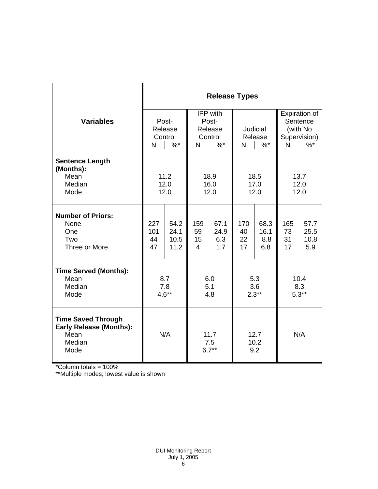|                                                                                       | <b>Release Types</b>   |                              |                        |                            |                       |                            |                       |                             |  |
|---------------------------------------------------------------------------------------|------------------------|------------------------------|------------------------|----------------------------|-----------------------|----------------------------|-----------------------|-----------------------------|--|
|                                                                                       |                        |                              | IPP with               |                            |                       |                            |                       | Expiration of               |  |
| <b>Variables</b>                                                                      | Post-                  |                              | Post-                  |                            |                       |                            |                       | Sentence                    |  |
|                                                                                       |                        | Release                      | Release                |                            | <b>Judicial</b>       |                            | (with No              |                             |  |
|                                                                                       |                        | Control                      | Control                |                            | Release               |                            | Supervision)          |                             |  |
|                                                                                       | N                      | $\%$ *                       | N                      | $\%$ *                     | N                     | $\%$ *                     | N                     | $\%$                        |  |
| <b>Sentence Length</b><br>(Months):<br>Mean                                           | 11.2<br>18.9           |                              | 18.5                   |                            | 13.7                  |                            |                       |                             |  |
| Median                                                                                |                        |                              | 16.0                   |                            | 17.0                  |                            | 12.0                  |                             |  |
| Mode                                                                                  | 12.0<br>12.0           |                              | 12.0                   |                            | 12.0                  |                            | 12.0                  |                             |  |
| <b>Number of Priors:</b><br>None<br>One<br>Two<br>Three or More                       | 227<br>101<br>44<br>47 | 54.2<br>24.1<br>10.5<br>11.2 | 159<br>59<br>15<br>4   | 67.1<br>24.9<br>6.3<br>1.7 | 170<br>40<br>22<br>17 | 68.3<br>16.1<br>8.8<br>6.8 | 165<br>73<br>31<br>17 | 57.7<br>25.5<br>10.8<br>5.9 |  |
| <b>Time Served (Months):</b>                                                          |                        |                              |                        |                            |                       |                            |                       |                             |  |
| Mean                                                                                  | 8.7                    |                              | 6.0                    |                            | 5.3                   |                            | 10.4                  |                             |  |
| Median                                                                                | 7.8                    |                              | 5.1                    |                            | 3.6                   |                            | 8.3                   |                             |  |
| Mode                                                                                  |                        | $4.6**$                      | 4.8                    |                            | $2.3**$               |                            | $5.3**$               |                             |  |
| <b>Time Saved Through</b><br><b>Early Release (Months):</b><br>Mean<br>Median<br>Mode | N/A                    |                              | 11.7<br>7.5<br>$6.7**$ |                            | 12.7<br>10.2<br>9.2   |                            | N/A                   |                             |  |

\*Column totals = 100%

\*\*Multiple modes; lowest value is shown